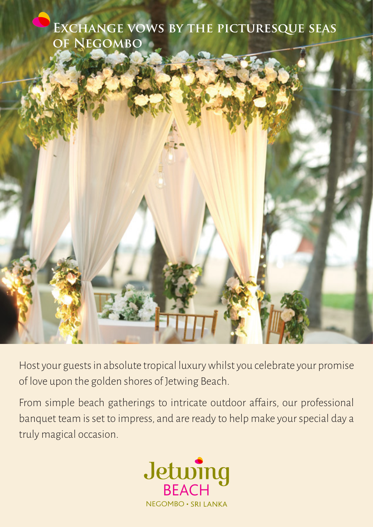



Host your guests in absolute tropical luxury whilst you celebrate your promise of love upon the golden shores of Jetwing Beach.

From simple beach gatherings to intricate outdoor a�fairs, our professional banquet team is set to impress, and are ready to help make your special day a truly magical occasion.

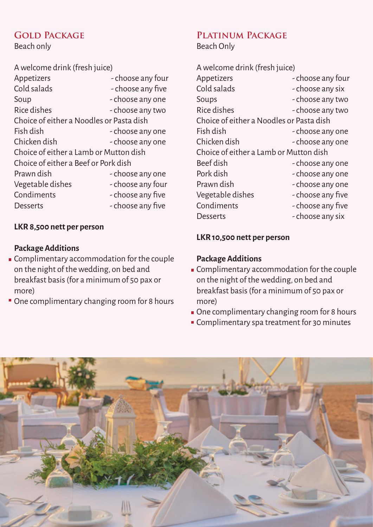# **GOLD PACKAGE**

Beach only

| A welcome drink (fresh juice)            |                   |  |
|------------------------------------------|-------------------|--|
| Appetizers                               | - choose any four |  |
| Cold salads                              | - choose any five |  |
| Soup                                     | - choose any one  |  |
| Rice dishes                              | - choose any two  |  |
| Choice of either a Noodles or Pasta dish |                   |  |
| Fish dish                                | - choose any one  |  |
| Chicken dish                             | - choose any one  |  |
| Choice of either a Lamb or Mutton dish   |                   |  |
| Choice of either a Beef or Pork dish     |                   |  |
| Prawn dish                               | - choose any one  |  |
| Vegetable dishes                         | - choose any four |  |
| Condiments                               | - choose any five |  |
| Desserts                                 | - choose any five |  |
|                                          |                   |  |

#### **LKR 8,500 nett per person**

#### **Package Additions**

- Complimentary accommodation for the couple on the night of the wedding, on bed and breakfast basis (for a minimum of 50 pax or more)
- One complimentary changing room for 8 hours

# **Platinum Package**

Beach Only

| A welcome drink (fresh juice)            |                   |  |
|------------------------------------------|-------------------|--|
| Appetizers                               | - choose any four |  |
| Cold salads                              | - choose any six  |  |
| Soups                                    | - choose any two  |  |
| Rice dishes                              | - choose any two  |  |
| Choice of either a Noodles or Pasta dish |                   |  |
| Fish dish                                | - choose any one  |  |
| Chicken dish                             | - choose any one  |  |
| Choice of either a Lamb or Mutton dish   |                   |  |
| Beef dish                                | - choose any one  |  |
| Pork dish                                | - choose any one  |  |
| Prawn dish                               | - choose any one  |  |
| Vegetable dishes                         | - choose any five |  |
| Condiments                               | - choose any five |  |
| Desserts                                 | - choose any six  |  |

#### **LKR 10,500 nett per person**

#### **Package Additions**

- Complimentary accommodation for the couple on the night of the wedding, on bed and breakfast basis (for a minimum of 50 pax or more)
- One complimentary changing room for 8 hours
- **Complimentary spa treatment for 30 minutes**

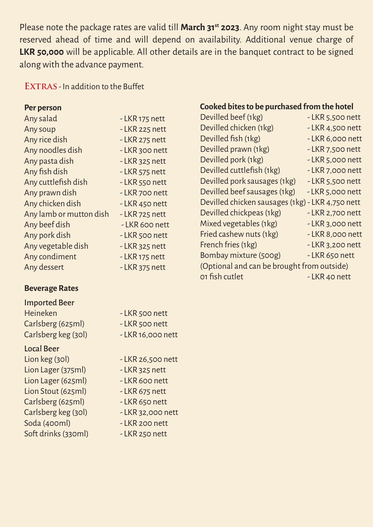Please note the package rates are valid till **March 31st 2023**. Any room night stay must be reserved ahead of time and will depend on availability. Additional venue charge of **LKR 50,000** will be applicable. All other details are in the banquet contract to be signed along with the advance payment.

**EXTRAS** - In addition to the Buffet

#### **Per person**

| Any salad               | - LKR 175 nett  |
|-------------------------|-----------------|
| Any soup                | - LKR 225 nett  |
| Any rice dish           | - LKR 275 nett  |
| Any noodles dish        | - LKR 300 nett  |
| Any pasta dish          | $-LKR$ 325 nett |
| Any fish dish           | - LKR 575 nett  |
| Any cuttlefish dish     | - LKR 550 nett  |
| Any prawn dish          | - LKR 700 nett  |
| Any chicken dish        | - LKR 450 nett  |
| Any lamb or mutton dish | - LKR 725 nett  |
| Any beef dish           | - LKR 600 nett  |
| Any pork dish           | - LKR 500 nett  |
| Any vegetable dish      | - LKR 325 nett  |
| Any condiment           | - LKR 175 nett  |
| Any dessert             | - LKR 375 nett  |
|                         |                 |

# **Beverage Rates**

| <b>Imported Beer</b> |                   |
|----------------------|-------------------|
| <b>Heineken</b>      | - LKR 500 nett    |
| Carlsberg (625ml)    | -LKR 500 nett     |
| Carlsberg keg (30l)  | - LKR 16,000 nett |
|                      |                   |

### Local Beer

- Lion keg (30l) LKR 26,500 nett Lion Lager (375ml) - LKR 325 nett Lion Lager (625ml) - LKR 600 nett Lion Stout (625ml) - LKR 675 nett Carlsberg (625ml) - LKR 650 nett Carlsberg keg (30l) - LKR 32,000 nett Soda (400ml) - LKR 200 nett So�t drinks (330ml) - LKR 250 nett
- -
	-
	-
	-
	-
	-
	-

# **Cooked bites to be purchased from the hotel**

| Devilled beef (1kg)                              | $-LKR$ 5,500 nett |
|--------------------------------------------------|-------------------|
| Devilled chicken (1kg)                           | - LKR 4,500 nett  |
| Devilled fish (1kg)                              | -LKR 6,000 nett   |
| Devilled prawn (1kg)                             | - LKR 7,500 nett  |
| Devilled pork (1kg)                              | - LKR 5,000 nett  |
| Devilled cuttlefish (1kg)                        | - LKR 7,000 nett  |
| Devilled pork sausages (1kg)                     | $-LKR$ 5,500 nett |
| Devilled beef sausages (1kg)                     | $-LKR$ 5,000 nett |
| Devilled chicken sausages (1kg) - LKR 4,750 nett |                   |
| Devilled chickpeas (1kg)                         | - LKR 2,700 nett  |
| Mixed vegetables (1kg)                           | - LKR 3,000 nett  |
| Fried cashew nuts (1kg)                          | - LKR 8,000 nett  |
| French fries (1kg)                               | - LKR 3,200 nett  |
| Bombay mixture (500g)                            | - LKR 650 nett    |
| (Optional and can be brought from outside)       |                   |
| 01 fish cutlet                                   | - LKR 40 nett     |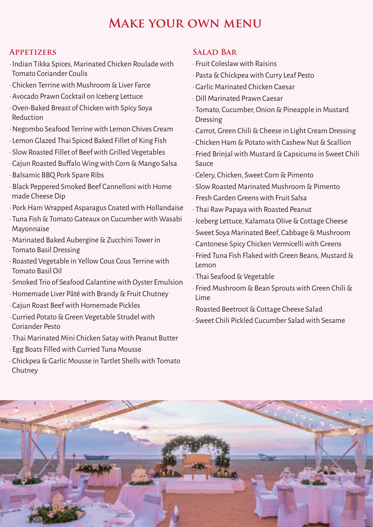# **Make your own menu**

### **Appetizers**

- · Indian Tikka Spices, Marinated Chicken Roulade with Tomato Coriander Coulis
- · Chicken Terrine with Mushroom & Liver Farce
- · Avocado Prawn Cocktail on Iceberg Lettuce
- · Oven-Baked Breast of Chicken with Spicy Soya Reduction
- · Negombo Seafood Terrine with Lemon Chives Cream
- · Lemon Glazed Thai Spiced Baked Fillet of King Fish
- · Slow Roasted Fillet of Beef with Grilled Vegetables
- · Cajun Roasted Bu�falo Wing with Corn & Mango Salsa
- · Balsamic BBQ Pork Spare Ribs
- · Black Peppered Smoked Beef Cannelloni with Home made Cheese Dip
- · Pork Ham Wrapped Asparagus Coated with Hollandaise
- · Tuna Fish & Tomato Gateaux on Cucumber with Wasabi Mayonnaise
- · Marinated Baked Aubergine & Zucchini Tower in Tomato Basil Dressing
- · Roasted Vegetable in Yellow Cous Cous Terrine with Tomato Basil Oil
- · Smoked Trio of Seafood Galantine with Oyster Emulsion
- · Homemade Liver Pâté with Brandy & Fruit Chutney
- · Cajun Roast Beef with Homemade Pickles
- · Curried Potato & Green Vegetable Strudel with Coriander Pesto
- · Thai Marinated Mini Chicken Satay with Peanut Butter
- · Egg Boats Filled with Curried Tuna Mousse
- · Chickpea & Garlic Mousse in Tartlet Shells with Tomato Chutney

# **SALAD BAR**

- · Fruit Coleslaw with Raisins
- · Pasta & Chickpea with Curry Leaf Pesto
- · Garlic Marinated Chicken Caesar
- · Dill Marinated Prawn Caesar
- · Tomato, Cucumber, Onion & Pineapple in Mustard Dressing
- · Carrot, Green Chili & Cheese in Light Cream Dressing
- · Chicken Ham & Potato with Cashew Nut & Scallion
- · Fried Brinjal with Mustard & Capsicums in Sweet Chili Sauce
- · Celery, Chicken, Sweet Corn & Pimento
- · Slow Roasted Marinated Mushroom & Pimento
- · Fresh Garden Greens with Fruit Salsa
- · Thai Raw Papaya with Roasted Peanut
- · Iceberg Lettuce, Kalamata Olive & Cottage Cheese
- · Sweet Soya Marinated Beef, Cabbage & Mushroom
- · Cantonese Spicy Chicken Vermicelli with Greens
- · Fried Tuna Fish Flaked with Green Beans, Mustard & Lemon
- · Thai Seafood & Vegetable
- · Fried Mushroom & Bean Sprouts with Green Chili & Lime
- · Roasted Beetroot & Cottage Cheese Salad
- · Sweet Chili Pickled Cucumber Salad with Sesame

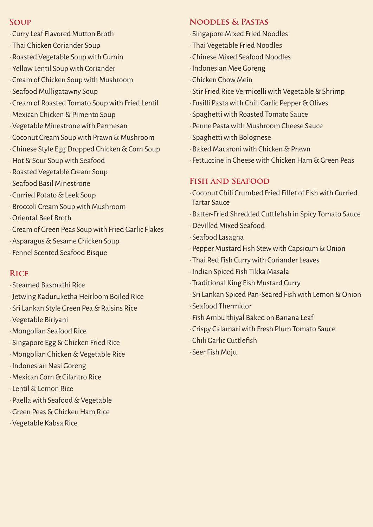#### **Soup**

- · Curry Leaf Flavored Mutton Broth
- · Thai Chicken Coriander Soup
- · Roasted Vegetable Soup with Cumin
- · Yellow Lentil Soup with Coriander
- · Cream of Chicken Soup with Mushroom
- · Seafood Mulligatawny Soup
- · Cream of Roasted Tomato Soup with Fried Lentil
- · Mexican Chicken & Pimento Soup
- · Vegetable Minestrone with Parmesan
- · Coconut Cream Soup with Prawn & Mushroom
- · Chinese Style Egg Dropped Chicken & Corn Soup
- · Hot & Sour Soup with Seafood
- · Roasted Vegetable Cream Soup
- · Seafood Basil Minestrone
- · Curried Potato & Leek Soup
- · Broccoli Cream Soup with Mushroom
- · Oriental Beef Broth
- · Cream of Green Peas Soup with Fried Garlic Flakes
- · Asparagus & Sesame Chicken Soup
- · Fennel Scented Seafood Bisque

### **Rice**

- · Steamed Basmathi Rice
- · Jetwing Kaduruketha Heirloom Boiled Rice
- · Sri Lankan Style Green Pea & Raisins Rice
- · Vegetable Biriyani
- · Mongolian Seafood Rice
- · Singapore Egg & Chicken Fried Rice
- · Mongolian Chicken & Vegetable Rice
- · Indonesian Nasi Goreng
- · Mexican Corn & Cilantro Rice
- · Lentil & Lemon Rice
- · Paella with Seafood & Vegetable
- · Green Peas & Chicken Ham Rice
- · Vegetable Kabsa Rice

# **Noodles & Pastas**

- · Singapore Mixed Fried Noodles
- · Thai Vegetable Fried Noodles
- · Chinese Mixed Seafood Noodles
- · Indonesian Mee Goreng
- · Chicken Chow Mein
- · Stir Fried Rice Vermicelli with Vegetable & Shrimp
- · Fusilli Pasta with Chili Garlic Pepper & Olives
- · Spaghetti with Roasted Tomato Sauce
- · Penne Pasta with Mushroom Cheese Sauce
- · Spaghetti with Bolognese
- · Baked Macaroni with Chicken & Prawn
- · Fettuccine in Cheese with Chicken Ham & Green Peas

# **Fish and Seafood**

- · Coconut Chili Crumbed Fried Fillet of Fish with Curried Tartar Sauce
- · Batter-Fried Shredded Cuttlefish in Spicy Tomato Sauce
- · Devilled Mixed Seafood
- · Seafood Lasagna
- · Pepper Mustard Fish Stew with Capsicum & Onion
- · Thai Red Fish Curry with Coriander Leaves
- · Indian Spiced Fish Tikka Masala
- · Traditional King Fish Mustard Curry
- · Sri Lankan Spiced Pan-Seared Fish with Lemon & Onion
- · Seafood Thermidor
- · Fish Ambulthiyal Baked on Banana Leaf
- · Crispy Calamari with Fresh Plum Tomato Sauce
- · Chili Garlic Cuttlefish
- · Seer Fish Moju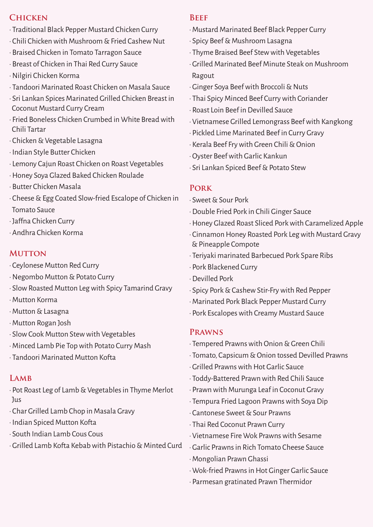#### **Chicken**

- · Traditional Black Pepper Mustard Chicken Curry
- · Chili Chicken with Mushroom & Fried Cashew Nut
- · Braised Chicken in Tomato Tarragon Sauce
- · Breast of Chicken in Thai Red Curry Sauce
- · Nilgiri Chicken Korma
- · Tandoori Marinated Roast Chicken on Masala Sauce
- · Sri Lankan Spices Marinated Grilled Chicken Breast in Coconut Mustard Curry Cream
- · Fried Boneless Chicken Crumbed in White Bread with Chili Tartar
- · Chicken & Vegetable Lasagna
- · Indian Style Butter Chicken
- · Lemony Cajun Roast Chicken on Roast Vegetables
- · Honey Soya Glazed Baked Chicken Roulade
- · Butter Chicken Masala
- · Cheese & Egg Coated Slow-fried Escalope of Chicken in Tomato Sauce
- · Ja�fna Chicken Curry
- · Andhra Chicken Korma

#### **MUTTON**

- · Ceylonese Mutton Red Curry
- · Negombo Mutton & Potato Curry
- · Slow Roasted Mutton Leg with Spicy Tamarind Gravy
- · Mutton Korma
- · Mutton & Lasagna
- · Mutton Rogan Josh
- · Slow Cook Mutton Stew with Vegetables
- · Minced Lamb Pie Top with Potato Curry Mash
- · Tandoori Marinated Mutton Ko�ta

### **Lamb**

- · Pot Roast Leg of Lamb & Vegetables in Thyme Merlot Jus
- · Char Grilled Lamb Chop in Masala Gravy
- · Indian Spiced Mutton Ko�ta
- · South Indian Lamb Cous Cous
- · Grilled Lamb Ko�ta Kebab with Pistachio & Minted Curd

#### **Beef**

- · Mustard Marinated Beef Black Pepper Curry
- · Spicy Beef & Mushroom Lasagna
- · Thyme Braised Beef Stew with Vegetables
- · Grilled Marinated Beef Minute Steak on Mushroom Ragout
- · Ginger Soya Beef with Broccoli & Nuts
- · Thai Spicy Minced Beef Curry with Coriander
- · Roast Loin Beef in Devilled Sauce
- · Vietnamese Grilled Lemongrass Beef with Kangkong
- · Pickled Lime Marinated Beef in Curry Gravy
- · Kerala Beef Fry with Green Chili & Onion
- · Oyster Beef with Garlic Kankun
- · Sri Lankan Spiced Beef & Potato Stew

#### **Pork**

- · Sweet & Sour Pork
- · Double Fried Pork in Chili Ginger Sauce
- · Honey Glazed Roast Sliced Pork with Caramelized Apple
- · Cinnamon Honey Roasted Pork Leg with Mustard Gravy & Pineapple Compote
- · Teriyaki marinated Barbecued Pork Spare Ribs
- · Pork Blackened Curry
- · Devilled Pork
- · Spicy Pork & Cashew Stir-Fry with Red Pepper
- · Marinated Pork Black Pepper Mustard Curry
- · Pork Escalopes with Creamy Mustard Sauce

#### **Prawns**

- · Tempered Prawns with Onion & Green Chili
- · Tomato, Capsicum & Onion tossed Devilled Prawns
- · Grilled Prawns with Hot Garlic Sauce
- · Toddy-Battered Prawn with Red Chili Sauce
- · Prawn with Murunga Leaf in Coconut Gravy
- · Tempura Fried Lagoon Prawns with Soya Dip
- · Cantonese Sweet & Sour Prawns
- · Thai Red Coconut Prawn Curry
- · Vietnamese Fire Wok Prawns with Sesame
- · Garlic Prawns in Rich Tomato Cheese Sauce
- · Mongolian Prawn Ghassi
- · Wok-fried Prawns in Hot Ginger Garlic Sauce
- · Parmesan gratinated Prawn Thermidor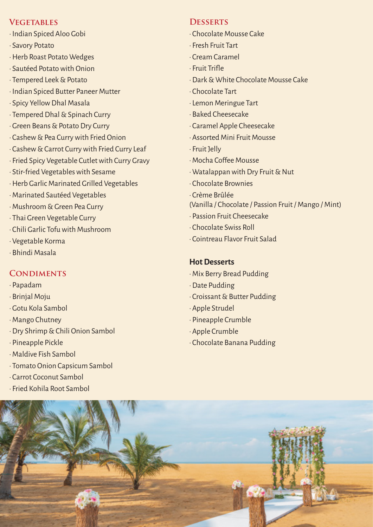#### **Vegetables**

- · Indian Spiced Aloo Gobi
- · Savory Potato
- · Herb Roast Potato Wedges
- · Sautéed Potato with Onion
- · Tempered Leek & Potato
- · Indian Spiced Butter Paneer Mutter
- · Spicy Yellow Dhal Masala
- · Tempered Dhal & Spinach Curry
- · Green Beans & Potato Dry Curry
- · Cashew & Pea Curry with Fried Onion
- · Cashew & Carrot Curry with Fried Curry Leaf
- · Fried Spicy Vegetable Cutlet with Curry Gravy
- · Stir-fried Vegetables with Sesame
- · Herb Garlic Marinated Grilled Vegetables
- · Marinated Sautéed Vegetables
- · Mushroom & Green Pea Curry
- · Thai Green Vegetable Curry
- · Chili Garlic Tofu with Mushroom
- · Vegetable Korma
- · Bhindi Masala

#### **CONDIMENTS**

- · Papadam
- · Brinjal Moju
- · Gotu Kola Sambol
- · Mango Chutney
- · Dry Shrimp & Chili Onion Sambol
- · Pineapple Pickle
- · Maldive Fish Sambol
- · Tomato Onion Capsicum Sambol
- · Carrot Coconut Sambol
- · Fried Kohila Root Sambol

#### **Desserts**

- · Chocolate Mousse Cake
- · Fresh Fruit Tart
- · Cream Caramel
- · Fruit Tri�le
- · Dark & White Chocolate Mousse Cake
- · Chocolate Tart
- · Lemon Meringue Tart
- · Baked Cheesecake
- · Caramel Apple Cheesecake
- · Assorted Mini Fruit Mousse
- · Fruit Jelly
- · Mocha Co�fee Mousse
- · Watalappan with Dry Fruit & Nut
- · Chocolate Brownies
- · Crème Brûlée
- (Vanilla / Chocolate / Passion Fruit / Mango / Mint)
- · Passion Fruit Cheesecake
- · Chocolate Swiss Roll
- · Cointreau Flavor Fruit Salad

#### **Hot Desserts**

- · Mix Berry Bread Pudding
- · Date Pudding
- · Croissant & Butter Pudding
- · Apple Strudel
- · Pineapple Crumble
- · Apple Crumble
- · Chocolate Banana Pudding